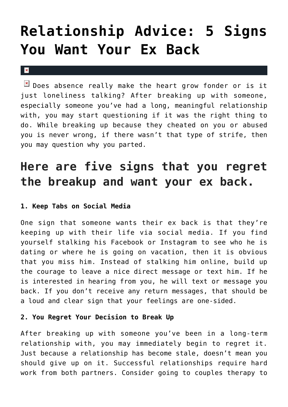# **[Relationship Advice: 5 Signs](https://cupidspulse.com/124084/relationship-advice-signs-you-want-ex-back/) [You Want Your Ex Back](https://cupidspulse.com/124084/relationship-advice-signs-you-want-ex-back/)**

#### $\pmb{\times}$

 $\boxed{\times}$  Does absence really make the heart grow fonder or is it just loneliness talking? After breaking up with someone, especially someone you've had a long, meaningful relationship with, you may start questioning if it was the right thing to do. While breaking up because they cheated on you or abused you is never wrong, if there wasn't that type of strife, then you may question why you parted.

# **Here are five signs that you regret the breakup and want your ex back.**

# **1. Keep Tabs on Social Media**

One sign that someone wants their ex back is that they're keeping up with their life via social media. If you find yourself stalking his Facebook or Instagram to see who he is dating or where he is going on vacation, then it is obvious that you miss him. Instead of stalking him online, build up the courage to leave a nice direct message or text him. If he is interested in hearing from you, he will text or message you back. If you don't receive any return messages, that should be a loud and clear sign that your feelings are one-sided.

# **2. You Regret Your Decision to Break Up**

After breaking up with someone you've been in a long-term relationship with, you may immediately begin to regret it. Just because a relationship has become stale, doesn't mean you should give up on it. Successful relationships require hard work from both partners. Consider going to couples therapy to